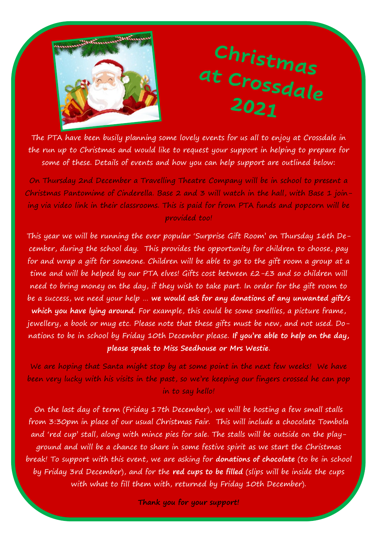

## Christmas at Crossdale 2021

The PTA have been busily planning some lovely events for us all to enjoy at Crossdale in the run up to Christmas and would like to request your support in helping to prepare for some of these. Details of events and how you can help support are outlined below:

On Thursday 2nd December a Travelling Theatre Company will be in school to present a Christmas Pantomime of Cinderella. Base 2 and 3 will watch in the hall, with Base 1 joining via video link in their classrooms. This is paid for from PTA funds and popcorn will be provided too!

This year we will be running the ever popular 'Surprise Gift Room' on Thursday 16th December, during the school day. This provides the opportunity for children to choose, pay for and wrap a gift for someone. Children will be able to go to the gift room a group at a time and will be helped by our PTA elves! Gifts cost between £2-£3 and so children will need to bring money on the day, if they wish to take part. In order for the gift room to be a success, we need your help … **we would ask for any donations of any unwanted gift/s which you have lying around.** For example, this could be some smellies, a picture frame, jewellery, a book or mug etc. Please note that these gifts must be new, and not used. Donations to be in school by Friday 10th December please. **If you're able to help on the day, please speak to Miss Seedhouse or Mrs Westie**.

We are hoping that Santa might stop by at some point in the next few weeks! We have been very lucky with his visits in the past, so we're keeping our fingers crossed he can pop in to say hello!

On the last day of term (Friday 17th December), we will be hosting a few small stalls from 3:30pm in place of our usual Christmas Fair. This will include a chocolate Tombola and 'red cup' stall, along with mince pies for sale. The stalls will be outside on the playground and will be a chance to share in some festive spirit as we start the Christmas break! To support with this event, we are asking for **donations of chocolate** (to be in school by Friday 3rd December), and for the **red cups to be filled** (slips will be inside the cups with what to fill them with, returned by Friday 10th December).

**Thank you for your support!**